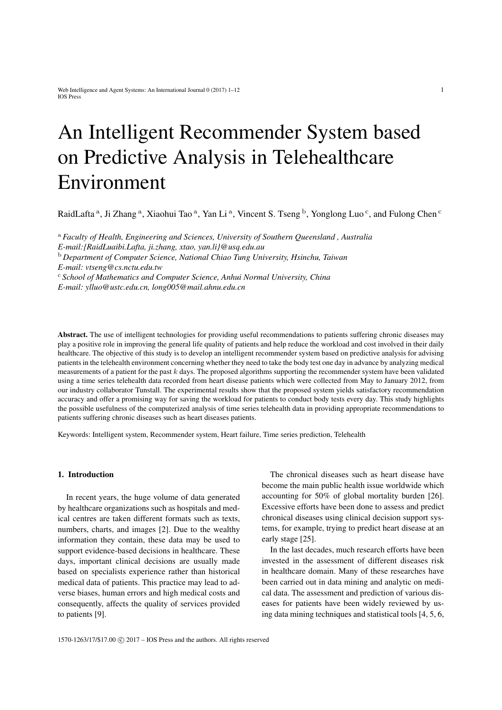# An Intelligent Recommender System based on Predictive Analysis in Telehealthcare Environment

RaidLafta<sup>a</sup>, Ji Zhang<sup>a</sup>, Xiaohui Tao<sup>a</sup>, Yan Li<sup>a</sup>, Vincent S. Tseng<sup>b</sup>, Yonglong Luo<sup>c</sup>, and Fulong Chen<sup>c</sup>

<sup>a</sup> *Faculty of Health, Engineering and Sciences, University of Southern Queensland , Australia E-mail:{RaidLuaibi.Lafta, ji.zhang, xtao, yan.li}@usq.edu.au* <sup>b</sup> *Department of Computer Science, National Chiao Tung University, Hsinchu, Taiwan E-mail: vtseng@cs.nctu.edu.tw* <sup>c</sup> *School of Mathematics and Computer Science, Anhui Normal University, China E-mail: ylluo@ustc.edu.cn, long005@mail.ahnu.edu.cn*

Abstract. The use of intelligent technologies for providing useful recommendations to patients suffering chronic diseases may play a positive role in improving the general life quality of patients and help reduce the workload and cost involved in their daily healthcare. The objective of this study is to develop an intelligent recommender system based on predictive analysis for advising patients in the telehealth environment concerning whether they need to take the body test one day in advance by analyzing medical measurements of a patient for the past  $k$  days. The proposed algorithms supporting the recommender system have been validated using a time series telehealth data recorded from heart disease patients which were collected from May to January 2012, from our industry collaborator Tunstall. The experimental results show that the proposed system yields satisfactory recommendation accuracy and offer a promising way for saving the workload for patients to conduct body tests every day. This study highlights the possible usefulness of the computerized analysis of time series telehealth data in providing appropriate recommendations to patients suffering chronic diseases such as heart diseases patients.

Keywords: Intelligent system, Recommender system, Heart failure, Time series prediction, Telehealth

# 1. Introduction

In recent years, the huge volume of data generated by healthcare organizations such as hospitals and medical centres are taken different formats such as texts, numbers, charts, and images [2]. Due to the wealthy information they contain, these data may be used to support evidence-based decisions in healthcare. These days, important clinical decisions are usually made based on specialists experience rather than historical medical data of patients. This practice may lead to adverse biases, human errors and high medical costs and consequently, affects the quality of services provided to patients [9].

The chronical diseases such as heart disease have become the main public health issue worldwide which accounting for 50% of global mortality burden [26]. Excessive efforts have been done to assess and predict chronical diseases using clinical decision support systems, for example, trying to predict heart disease at an early stage [25].

In the last decades, much research efforts have been invested in the assessment of different diseases risk in healthcare domain. Many of these researches have been carried out in data mining and analytic on medical data. The assessment and prediction of various diseases for patients have been widely reviewed by using data mining techniques and statistical tools [4, 5, 6,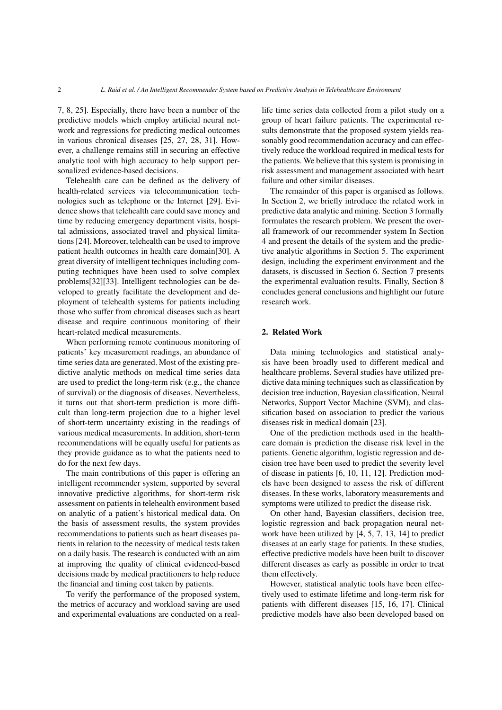7, 8, 25]. Especially, there have been a number of the predictive models which employ artificial neural network and regressions for predicting medical outcomes in various chronical diseases [25, 27, 28, 31]. However, a challenge remains still in securing an effective analytic tool with high accuracy to help support personalized evidence-based decisions.

Telehealth care can be defined as the delivery of health-related services via telecommunication technologies such as telephone or the Internet [29]. Evidence shows that telehealth care could save money and time by reducing emergency department visits, hospital admissions, associated travel and physical limitations [24]. Moreover, telehealth can be used to improve patient health outcomes in health care domain[30]. A great diversity of intelligent techniques including computing techniques have been used to solve complex problems[32][33]. Intelligent technologies can be developed to greatly facilitate the development and deployment of telehealth systems for patients including those who suffer from chronical diseases such as heart disease and require continuous monitoring of their heart-related medical measurements.

When performing remote continuous monitoring of patients' key measurement readings, an abundance of time series data are generated. Most of the existing predictive analytic methods on medical time series data are used to predict the long-term risk (e.g., the chance of survival) or the diagnosis of diseases. Nevertheless, it turns out that short-term prediction is more difficult than long-term projection due to a higher level of short-term uncertainty existing in the readings of various medical measurements. In addition, short-term recommendations will be equally useful for patients as they provide guidance as to what the patients need to do for the next few days.

The main contributions of this paper is offering an intelligent recommender system, supported by several innovative predictive algorithms, for short-term risk assessment on patients in telehealth environment based on analytic of a patient's historical medical data. On the basis of assessment results, the system provides recommendations to patients such as heart diseases patients in relation to the necessity of medical tests taken on a daily basis. The research is conducted with an aim at improving the quality of clinical evidenced-based decisions made by medical practitioners to help reduce the financial and timing cost taken by patients.

To verify the performance of the proposed system, the metrics of accuracy and workload saving are used and experimental evaluations are conducted on a reallife time series data collected from a pilot study on a group of heart failure patients. The experimental results demonstrate that the proposed system yields reasonably good recommendation accuracy and can effectively reduce the workload required in medical tests for the patients. We believe that this system is promising in risk assessment and management associated with heart failure and other similar diseases.

The remainder of this paper is organised as follows. In Section 2, we briefly introduce the related work in predictive data analytic and mining. Section 3 formally formulates the research problem. We present the overall framework of our recommender system In Section 4 and present the details of the system and the predictive analytic algorithms in Section 5. The experiment design, including the experiment environment and the datasets, is discussed in Section 6. Section 7 presents the experimental evaluation results. Finally, Section 8 concludes general conclusions and highlight our future research work.

# 2. Related Work

Data mining technologies and statistical analysis have been broadly used to different medical and healthcare problems. Several studies have utilized predictive data mining techniques such as classification by decision tree induction, Bayesian classification, Neural Networks, Support Vector Machine (SVM), and classification based on association to predict the various diseases risk in medical domain [23].

One of the prediction methods used in the healthcare domain is prediction the disease risk level in the patients. Genetic algorithm, logistic regression and decision tree have been used to predict the severity level of disease in patients [6, 10, 11, 12]. Prediction models have been designed to assess the risk of different diseases. In these works, laboratory measurements and symptoms were utilized to predict the disease risk.

On other hand, Bayesian classifiers, decision tree, logistic regression and back propagation neural network have been utilized by [4, 5, 7, 13, 14] to predict diseases at an early stage for patients. In these studies, effective predictive models have been built to discover different diseases as early as possible in order to treat them effectively.

However, statistical analytic tools have been effectively used to estimate lifetime and long-term risk for patients with different diseases [15, 16, 17]. Clinical predictive models have also been developed based on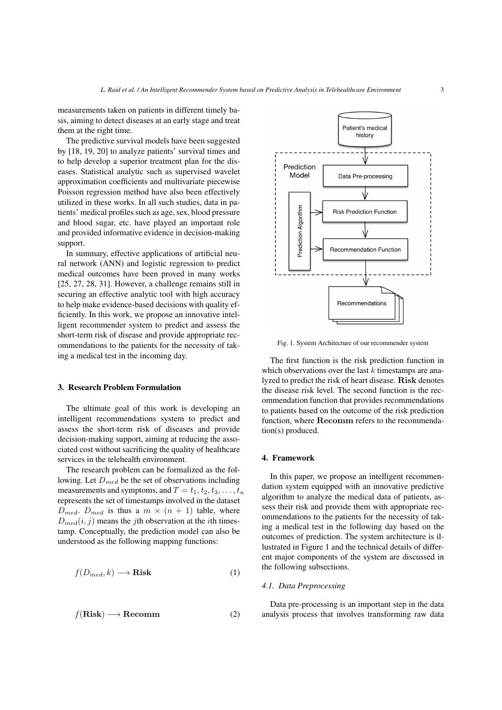measurements taken on patients in different timely basis, aiming to detect diseases at an early stage and treat them at the right time.

The predictive survival models have been suggested by [18, 19, 20] to analyze patients' survival times and to help develop a superior treatment plan for the diseases. Statistical analytic such as supervised wavelet approximation coefficients and multivariate piecewise Poisson regression method have also been effectively utilized in these works. In all such studies, data in patients' medical profiles such as age, sex, blood pressure and blood sugar, etc. have played an important role and provided informative evidence in decision-making support.

In summary, effective applications of artificial neural network (ANN) and logistic regression to predict medical outcomes have been proved in many works [25, 27, 28, 31]. However, a challenge remains still in securing an effective analytic tool with high accuracy to help make evidence-based decisions with quality efficiently. In this work, we propose an innovative intelligent recommender system to predict and assess the short-term risk of disease and provide appropriate recommendations to the patients for the necessity of taking a medical test in the incoming day.

## 3. Research Problem Formulation

The ultimate goal of this work is developing an intelligent recommendations system to predict and assess the short-term risk of diseases and provide decision-making support, aiming at reducing the associated cost without sacrificing the quality of healthcare services in the telehealth environment.

The research problem can be formalized as the following. Let  $D_{med}$  be the set of observations including measurements and symptoms, and  $T = t_1, t_2, t_3, \ldots, t_n$ represents the set of timestamps involved in the dataset  $D_{med}$ .  $D_{med}$  is thus a  $m \times (n + 1)$  table, where  $D_{med}(i, j)$  means the jth observation at the *i*th timestamp. Conceptually, the prediction model can also be understood as the following mapping functions:

$$
f(D_{med}, k) \longrightarrow \textbf{Risk} \tag{1}
$$

$$
f(\mathbf{Risk}) \longrightarrow \mathbf{Recomm} \tag{2}
$$



Fig. 1. System Architecture of our recommender system

The first function is the risk prediction function in which observations over the last  $k$  timestamps are analyzed to predict the risk of heart disease. Risk denotes the disease risk level. The second function is the recommendation function that provides recommendations to patients based on the outcome of the risk prediction function, where Recomm refers to the recommendation(s) produced.

## 4. Framework

In this paper, we propose an intelligent recommendation system equipped with an innovative predictive algorithm to analyze the medical data of patients, assess their risk and provide them with appropriate recommendations to the patients for the necessity of taking a medical test in the following day based on the outcomes of prediction. The system architecture is illustrated in Figure 1 and the technical details of different major components of the system are discussed in the following subsections.

## *4.1. Data Preprocessing*

Data pre-processing is an important step in the data analysis process that involves transforming raw data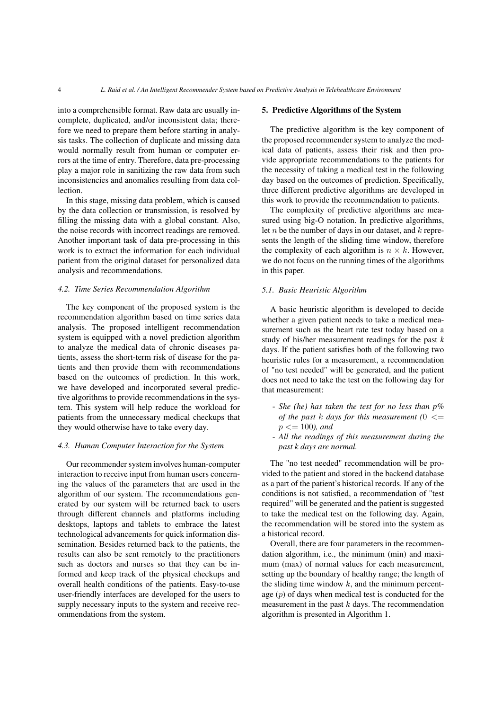into a comprehensible format. Raw data are usually incomplete, duplicated, and/or inconsistent data; therefore we need to prepare them before starting in analysis tasks. The collection of duplicate and missing data would normally result from human or computer errors at the time of entry. Therefore, data pre-processing play a major role in sanitizing the raw data from such inconsistencies and anomalies resulting from data collection.

In this stage, missing data problem, which is caused by the data collection or transmission, is resolved by filling the missing data with a global constant. Also, the noise records with incorrect readings are removed. Another important task of data pre-processing in this work is to extract the information for each individual patient from the original dataset for personalized data analysis and recommendations.

## *4.2. Time Series Recommendation Algorithm*

The key component of the proposed system is the recommendation algorithm based on time series data analysis. The proposed intelligent recommendation system is equipped with a novel prediction algorithm to analyze the medical data of chronic diseases patients, assess the short-term risk of disease for the patients and then provide them with recommendations based on the outcomes of prediction. In this work, we have developed and incorporated several predictive algorithms to provide recommendations in the system. This system will help reduce the workload for patients from the unnecessary medical checkups that they would otherwise have to take every day.

## *4.3. Human Computer Interaction for the System*

Our recommender system involves human-computer interaction to receive input from human users concerning the values of the parameters that are used in the algorithm of our system. The recommendations generated by our system will be returned back to users through different channels and platforms including desktops, laptops and tablets to embrace the latest technological advancements for quick information dissemination. Besides returned back to the patients, the results can also be sent remotely to the practitioners such as doctors and nurses so that they can be informed and keep track of the physical checkups and overall health conditions of the patients. Easy-to-use user-friendly interfaces are developed for the users to supply necessary inputs to the system and receive recommendations from the system.

#### 5. Predictive Algorithms of the System

The predictive algorithm is the key component of the proposed recommender system to analyze the medical data of patients, assess their risk and then provide appropriate recommendations to the patients for the necessity of taking a medical test in the following day based on the outcomes of prediction. Specifically, three different predictive algorithms are developed in this work to provide the recommendation to patients.

The complexity of predictive algorithms are measured using big-O notation. In predictive algorithms, let  $n$  be the number of days in our dataset, and  $k$  represents the length of the sliding time window, therefore the complexity of each algorithm is  $n \times k$ . However, we do not focus on the running times of the algorithms in this paper.

## *5.1. Basic Heuristic Algorithm*

A basic heuristic algorithm is developed to decide whether a given patient needs to take a medical measurement such as the heart rate test today based on a study of his/her measurement readings for the past *k* days. If the patient satisfies both of the following two heuristic rules for a measurement, a recommendation of "no test needed" will be generated, and the patient does not need to take the test on the following day for that measurement:

- *She (he) has taken the test for no less than p% of the past k days for this measurement*  $(0 \leq$  $p \leq 100$ *), and*
- *All the readings of this measurement during the past k days are normal.*

The "no test needed" recommendation will be provided to the patient and stored in the backend database as a part of the patient's historical records. If any of the conditions is not satisfied, a recommendation of "test required" will be generated and the patient is suggested to take the medical test on the following day. Again, the recommendation will be stored into the system as a historical record.

Overall, there are four parameters in the recommendation algorithm, i.e., the minimum (min) and maximum (max) of normal values for each measurement, setting up the boundary of healthy range; the length of the sliding time window  $k$ , and the minimum percentage (p) of days when medical test is conducted for the measurement in the past  $k$  days. The recommendation algorithm is presented in Algorithm 1.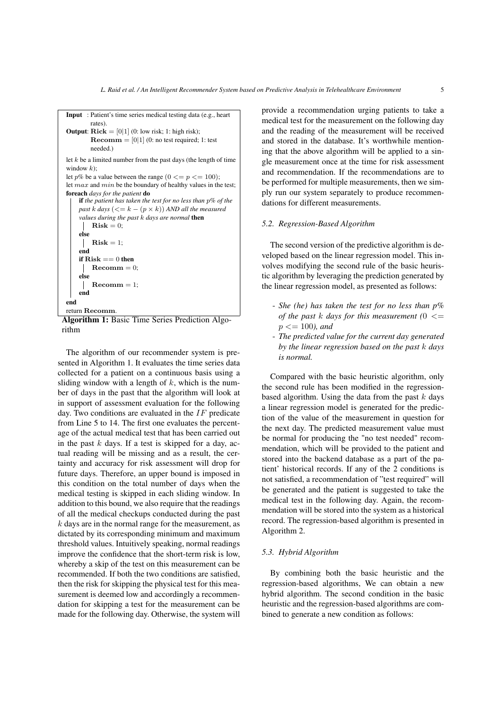```
Input : Patient's time series medical testing data (e.g., heart
         rates).
Output: Rick = [0|1] (0: low risk; 1: high risk);
         \mathbf{Recomm} = [0,1] (0: no test required; 1: test
         needed.)
let k be a limited number from the past days (the length of time
window k):
let p\% be a value between the range (0 \le p \le 100);
let max and min be the boundary of healthy values in the test:
foreach days for the patient do
    if the patient has taken the test for no less than p% of the
    past k days (\leq k - (p \times k)) AND all the measured
     values during the past k days are normal then
      Risk = 0;
    else
     | Risk = 1;end
    if Risk == 0 then
         \mathbf{Recomm} = 0;
     \mathbf{L}else
     Recomm = 1;
    end
end
return Recomm.
```
Algorithm 1: Basic Time Series Prediction Algorithm

The algorithm of our recommender system is presented in Algorithm 1. It evaluates the time series data collected for a patient on a continuous basis using a sliding window with a length of  $k$ , which is the number of days in the past that the algorithm will look at in support of assessment evaluation for the following day. Two conditions are evaluated in the  $IF$  predicate from Line 5 to 14. The first one evaluates the percentage of the actual medical test that has been carried out in the past  $k$  days. If a test is skipped for a day, actual reading will be missing and as a result, the certainty and accuracy for risk assessment will drop for future days. Therefore, an upper bound is imposed in this condition on the total number of days when the medical testing is skipped in each sliding window. In addition to this bound, we also require that the readings of all the medical checkups conducted during the past  $k$  days are in the normal range for the measurement, as dictated by its corresponding minimum and maximum threshold values. Intuitively speaking, normal readings improve the confidence that the short-term risk is low, whereby a skip of the test on this measurement can be recommended. If both the two conditions are satisfied, then the risk for skipping the physical test for this measurement is deemed low and accordingly a recommendation for skipping a test for the measurement can be made for the following day. Otherwise, the system will provide a recommendation urging patients to take a medical test for the measurement on the following day and the reading of the measurement will be received and stored in the database. It's worthwhile mentioning that the above algorithm will be applied to a single measurement once at the time for risk assessment and recommendation. If the recommendations are to be performed for multiple measurements, then we simply run our system separately to produce recommendations for different measurements.

#### *5.2. Regression-Based Algorithm*

The second version of the predictive algorithm is developed based on the linear regression model. This involves modifying the second rule of the basic heuristic algorithm by leveraging the prediction generated by the linear regression model, as presented as follows:

- *She (he) has taken the test for no less than p% of the past k days for this measurement*  $(0 \leq$  $p \leq 100$ *), and*
- *The predicted value for the current day generated by the linear regression based on the past* k *days is normal.*

Compared with the basic heuristic algorithm, only the second rule has been modified in the regressionbased algorithm. Using the data from the past  $k$  days a linear regression model is generated for the prediction of the value of the measurement in question for the next day. The predicted measurement value must be normal for producing the "no test needed" recommendation, which will be provided to the patient and stored into the backend database as a part of the patient' historical records. If any of the 2 conditions is not satisfied, a recommendation of "test required" will be generated and the patient is suggested to take the medical test in the following day. Again, the recommendation will be stored into the system as a historical record. The regression-based algorithm is presented in Algorithm 2.

## *5.3. Hybrid Algorithm*

By combining both the basic heuristic and the regression-based algorithms, We can obtain a new hybrid algorithm. The second condition in the basic heuristic and the regression-based algorithms are combined to generate a new condition as follows: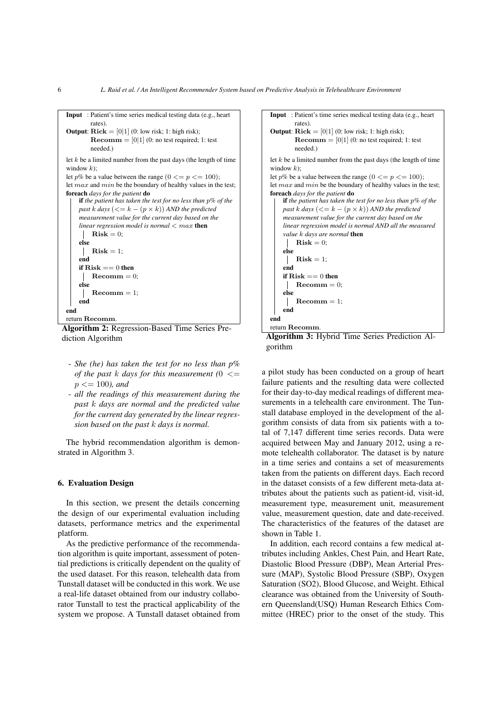```
Input : Patient's time series medical testing data (e.g., heart
         rates).
Output: Rick = [0|1] (0: low risk; 1: high risk);
         \mathbf{Recomm} = [0,1] (0: no test required; 1: test
         needed.)
let k be a limited number from the past days (the length of time
window k):
let p\% be a value between the range (0 \le p \le 100);
let max and min be the boundary of healthy values in the test:
foreach days for the patient do
     if the patient has taken the test for no less than p% of the
     past k days (<= k - (p \times k)) AND the predicted
     measurement value for the current day based on the
     linear regression model is normal < max then
         Risk = 0:
     else
     | Risk = 1;end
     if Risk == 0 then
      \mathbf{L}\mathrm{Recomm}=0;
     else
         Recommend:
      \overline{\phantom{a}}end
end
return Recomm.
```
Algorithm 2: Regression-Based Time Series Prediction Algorithm

- *She (he) has taken the test for no less than p% of the past k days for this measurement*  $(0 \leq$  $p \leq 100$ *), and*
- *all the readings of this measurement during the past* k *days are normal and the predicted value for the current day generated by the linear regression based on the past* k *days is normal.*

The hybrid recommendation algorithm is demonstrated in Algorithm 3.

#### 6. Evaluation Design

In this section, we present the details concerning the design of our experimental evaluation including datasets, performance metrics and the experimental platform.

As the predictive performance of the recommendation algorithm is quite important, assessment of potential predictions is critically dependent on the quality of the used dataset. For this reason, telehealth data from Tunstall dataset will be conducted in this work. We use a real-life dataset obtained from our industry collaborator Tunstall to test the practical applicability of the system we propose. A Tunstall dataset obtained from



gorithm

a pilot study has been conducted on a group of heart failure patients and the resulting data were collected for their day-to-day medical readings of different measurements in a telehealth care environment. The Tunstall database employed in the development of the algorithm consists of data from six patients with a total of 7,147 different time series records. Data were acquired between May and January 2012, using a remote telehealth collaborator. The dataset is by nature in a time series and contains a set of measurements taken from the patients on different days. Each record in the dataset consists of a few different meta-data attributes about the patients such as patient-id, visit-id, measurement type, measurement unit, measurement value, measurement question, date and date-received. The characteristics of the features of the dataset are shown in Table 1.

In addition, each record contains a few medical attributes including Ankles, Chest Pain, and Heart Rate, Diastolic Blood Pressure (DBP), Mean Arterial Pressure (MAP), Systolic Blood Pressure (SBP), Oxygen Saturation (SO2), Blood Glucose, and Weight. Ethical clearance was obtained from the University of Southern Queensland(USQ) Human Research Ethics Committee (HREC) prior to the onset of the study. This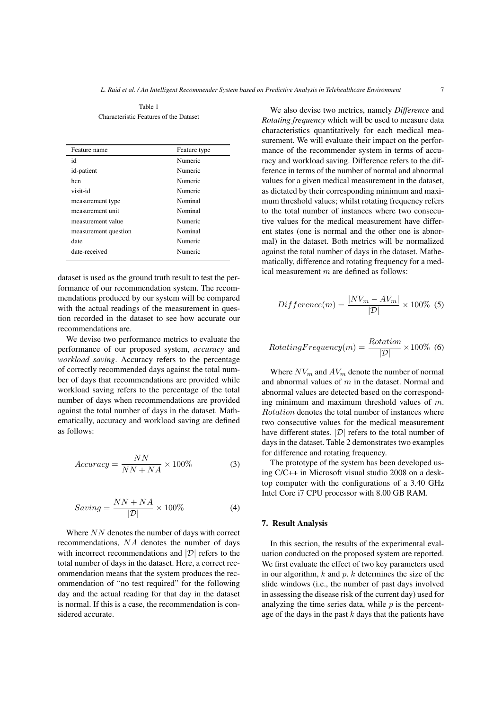| Feature name         | Feature type |
|----------------------|--------------|
| id                   | Numeric      |
| id-patient           | Numeric      |
| hcn                  | Numeric      |
| visit-id             | Numeric      |
| measurement type     | Nominal      |
| measurement unit     | Nominal      |
| measurement value    | Numeric      |
| measurement question | Nominal      |
| date                 | Numeric      |
| date-received        | Numeric      |

Table 1 Characteristic Features of the Dataset

dataset is used as the ground truth result to test the performance of our recommendation system. The recommendations produced by our system will be compared with the actual readings of the measurement in question recorded in the dataset to see how accurate our recommendations are.

We devise two performance metrics to evaluate the performance of our proposed system, *accuracy* and *workload saving*. Accuracy refers to the percentage of correctly recommended days against the total number of days that recommendations are provided while workload saving refers to the percentage of the total number of days when recommendations are provided against the total number of days in the dataset. Mathematically, accuracy and workload saving are defined as follows:

$$
Accuracy = \frac{NN}{NN + NA} \times 100\% \tag{3}
$$

$$
Saving = \frac{NN + NA}{|\mathcal{D}|} \times 100\%
$$
 (4)

Where NN denotes the number of days with correct recommendations, NA denotes the number of days with incorrect recommendations and  $|\mathcal{D}|$  refers to the total number of days in the dataset. Here, a correct recommendation means that the system produces the recommendation of "no test required" for the following day and the actual reading for that day in the dataset is normal. If this is a case, the recommendation is considered accurate.

We also devise two metrics, namely *Difference* and *Rotating frequency* which will be used to measure data characteristics quantitatively for each medical measurement. We will evaluate their impact on the performance of the recommender system in terms of accuracy and workload saving. Difference refers to the difference in terms of the number of normal and abnormal values for a given medical measurement in the dataset, as dictated by their corresponding minimum and maximum threshold values; whilst rotating frequency refers to the total number of instances where two consecutive values for the medical measurement have different states (one is normal and the other one is abnormal) in the dataset. Both metrics will be normalized against the total number of days in the dataset. Mathematically, difference and rotating frequency for a medical measurement  $m$  are defined as follows:

$$
Difference(m) = \frac{|NV_m - AV_m|}{|\mathcal{D}|} \times 100\% \tag{5}
$$

$$
RotatingFrequency(m) = \frac{Rotation}{|\mathcal{D}|} \times 100\% \tag{6}
$$

Where  $NV_m$  and  $AV_m$  denote the number of normal and abnormal values of m in the dataset. Normal and abnormal values are detected based on the corresponding minimum and maximum threshold values of  $m$ . Rotation denotes the total number of instances where two consecutive values for the medical measurement have different states.  $|\mathcal{D}|$  refers to the total number of days in the dataset. Table 2 demonstrates two examples for difference and rotating frequency.

The prototype of the system has been developed using C/C++ in Microsoft visual studio 2008 on a desktop computer with the configurations of a 3.40 GHz Intel Core i7 CPU processor with 8.00 GB RAM.

## 7. Result Analysis

In this section, the results of the experimental evaluation conducted on the proposed system are reported. We first evaluate the effect of two key parameters used in our algorithm,  $k$  and  $p$ .  $k$  determines the size of the slide windows (i.e., the number of past days involved in assessing the disease risk of the current day) used for analyzing the time series data, while  $p$  is the percentage of the days in the past  $k$  days that the patients have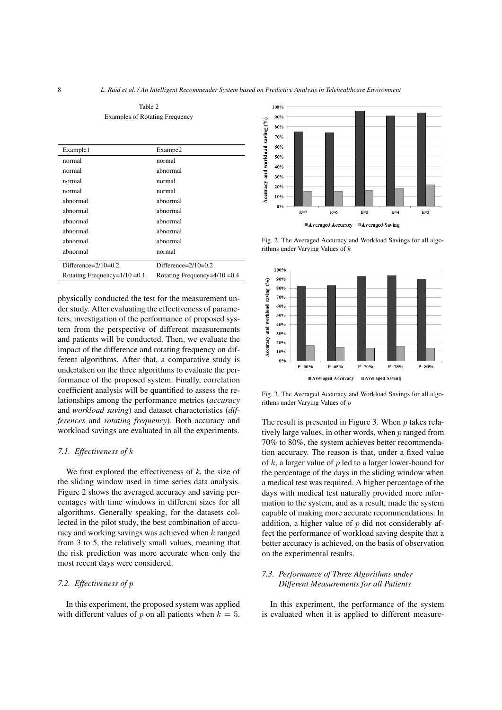| Example1                         | Exampe2                          |
|----------------------------------|----------------------------------|
| normal                           | normal                           |
| normal                           | abnormal                         |
| normal                           | normal                           |
| normal                           | normal                           |
| abnormal                         | abnormal                         |
| abnormal                         | abnormal                         |
| abnormal                         | abnormal                         |
| abnormal                         | abnormal                         |
| abnormal                         | abnormal                         |
| abnormal                         | normal                           |
| Difference= $2/10$ =0.2          | Difference= $2/10$ =0.2          |
| Rotating Frequency= $1/10 = 0.1$ | Rotating Frequency= $4/10 = 0.4$ |

Table 2 Examples of Rotating Frequency

physically conducted the test for the measurement under study. After evaluating the effectiveness of parameters, investigation of the performance of proposed system from the perspective of different measurements and patients will be conducted. Then, we evaluate the impact of the difference and rotating frequency on different algorithms. After that, a comparative study is undertaken on the three algorithms to evaluate the performance of the proposed system. Finally, correlation coefficient analysis will be quantified to assess the relationships among the performance metrics (*accuracy* and *workload saving*) and dataset characteristics (*differences* and *rotating frequency*). Both accuracy and workload savings are evaluated in all the experiments.

#### *7.1. Effectiveness of* k

We first explored the effectiveness of *k*, the size of the sliding window used in time series data analysis. Figure 2 shows the averaged accuracy and saving percentages with time windows in different sizes for all algorithms. Generally speaking, for the datasets collected in the pilot study, the best combination of accuracy and working savings was achieved when k ranged from 3 to 5, the relatively small values, meaning that the risk prediction was more accurate when only the most recent days were considered.

## *7.2. Effectiveness of* p

In this experiment, the proposed system was applied with different values of p on all patients when  $k = 5$ .



Fig. 2. The Averaged Accuracy and Workload Savings for all algorithms under Varying Values of k



Fig. 3. The Averaged Accuracy and Workload Savings for all algorithms under Varying Values of p

The result is presented in Figure 3. When  $p$  takes relatively large values, in other words, when  $p$  ranged from 70% to 80%, the system achieves better recommendation accuracy. The reason is that, under a fixed value of  $k$ , a larger value of  $p$  led to a larger lower-bound for the percentage of the days in the sliding window when a medical test was required. A higher percentage of the days with medical test naturally provided more information to the system, and as a result, made the system capable of making more accurate recommendations. In addition, a higher value of  $p$  did not considerably affect the performance of workload saving despite that a better accuracy is achieved, on the basis of observation on the experimental results.

## *7.3. Performance of Three Algorithms under Different Measurements for all Patients*

In this experiment, the performance of the system is evaluated when it is applied to different measure-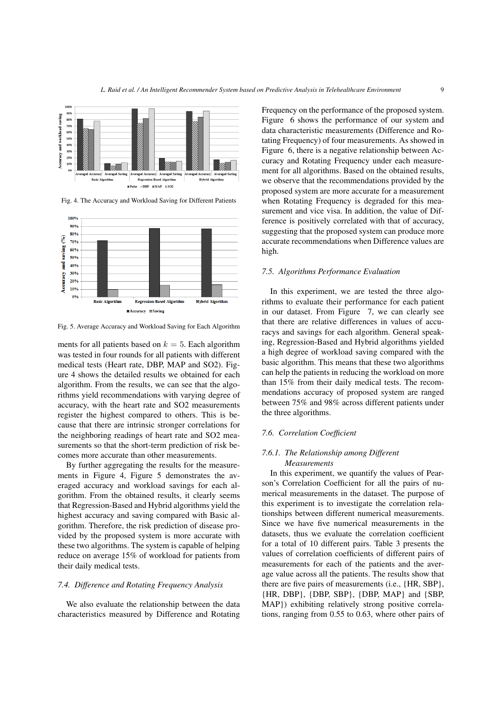

Fig. 4. The Accuracy and Workload Saving for Different Patients



Fig. 5. Average Accuracy and Workload Saving for Each Algorithm

ments for all patients based on  $k = 5$ . Each algorithm was tested in four rounds for all patients with different medical tests (Heart rate, DBP, MAP and SO2). Figure 4 shows the detailed results we obtained for each algorithm. From the results, we can see that the algorithms yield recommendations with varying degree of accuracy, with the heart rate and SO2 measurements register the highest compared to others. This is because that there are intrinsic stronger correlations for the neighboring readings of heart rate and SO2 measurements so that the short-term prediction of risk becomes more accurate than other measurements.

By further aggregating the results for the measurements in Figure 4, Figure 5 demonstrates the averaged accuracy and workload savings for each algorithm. From the obtained results, it clearly seems that Regression-Based and Hybrid algorithms yield the highest accuracy and saving compared with Basic algorithm. Therefore, the risk prediction of disease provided by the proposed system is more accurate with these two algorithms. The system is capable of helping reduce on average 15% of workload for patients from their daily medical tests.

# *7.4. Difference and Rotating Frequency Analysis*

We also evaluate the relationship between the data characteristics measured by Difference and Rotating Frequency on the performance of the proposed system. Figure 6 shows the performance of our system and data characteristic measurements (Difference and Rotating Frequency) of four measurements. As showed in Figure 6, there is a negative relationship between Accuracy and Rotating Frequency under each measurement for all algorithms. Based on the obtained results, we observe that the recommendations provided by the proposed system are more accurate for a measurement when Rotating Frequency is degraded for this measurement and vice visa. In addition, the value of Difference is positively correlated with that of accuracy, suggesting that the proposed system can produce more accurate recommendations when Difference values are high.

### *7.5. Algorithms Performance Evaluation*

In this experiment, we are tested the three algorithms to evaluate their performance for each patient in our dataset. From Figure 7, we can clearly see that there are relative differences in values of accuracys and savings for each algorithm. General speaking, Regression-Based and Hybrid algorithms yielded a high degree of workload saving compared with the basic algorithm. This means that these two algorithms can help the patients in reducing the workload on more than 15% from their daily medical tests. The recommendations accuracy of proposed system are ranged between 75% and 98% across different patients under the three algorithms.

### *7.6. Correlation Coefficient*

## *7.6.1. The Relationship among Different Measurements*

In this experiment, we quantify the values of Pearson's Correlation Coefficient for all the pairs of numerical measurements in the dataset. The purpose of this experiment is to investigate the correlation relationships between different numerical measurements. Since we have five numerical measurements in the datasets, thus we evaluate the correlation coefficient for a total of 10 different pairs. Table 3 presents the values of correlation coefficients of different pairs of measurements for each of the patients and the average value across all the patients. The results show that there are five pairs of measurements (i.e., {HR, SBP}, {HR, DBP}, {DBP, SBP}, {DBP, MAP} and {SBP, MAP}) exhibiting relatively strong positive correlations, ranging from 0.55 to 0.63, where other pairs of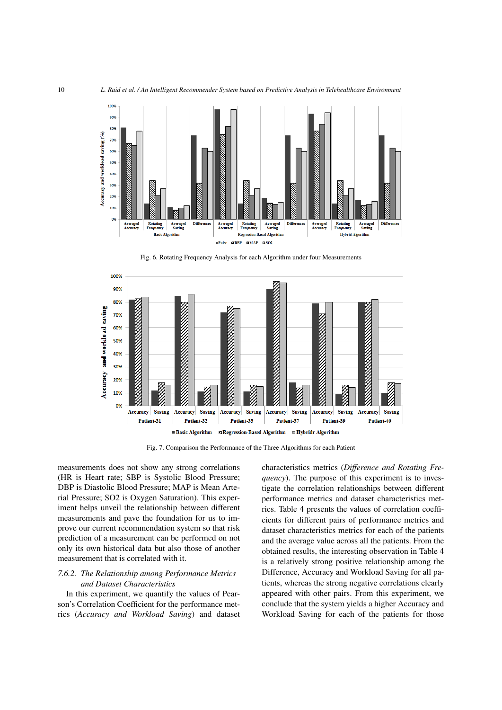

Fig. 6. Rotating Frequency Analysis for each Algorithm under four Measurements



Fig. 7. Comparison the Performance of the Three Algorithms for each Patient

measurements does not show any strong correlations (HR is Heart rate; SBP is Systolic Blood Pressure; DBP is Diastolic Blood Pressure; MAP is Mean Arterial Pressure; SO2 is Oxygen Saturation). This experiment helps unveil the relationship between different measurements and pave the foundation for us to improve our current recommendation system so that risk prediction of a measurement can be performed on not only its own historical data but also those of another measurement that is correlated with it.

## *7.6.2. The Relationship among Performance Metrics and Dataset Characteristics*

In this experiment, we quantify the values of Pearson's Correlation Coefficient for the performance metrics (*Accuracy and Workload Saving*) and dataset characteristics metrics (*Difference and Rotating Frequency*). The purpose of this experiment is to investigate the correlation relationships between different performance metrics and dataset characteristics metrics. Table 4 presents the values of correlation coefficients for different pairs of performance metrics and dataset characteristics metrics for each of the patients and the average value across all the patients. From the obtained results, the interesting observation in Table 4 is a relatively strong positive relationship among the Difference, Accuracy and Workload Saving for all patients, whereas the strong negative correlations clearly appeared with other pairs. From this experiment, we conclude that the system yields a higher Accuracy and Workload Saving for each of the patients for those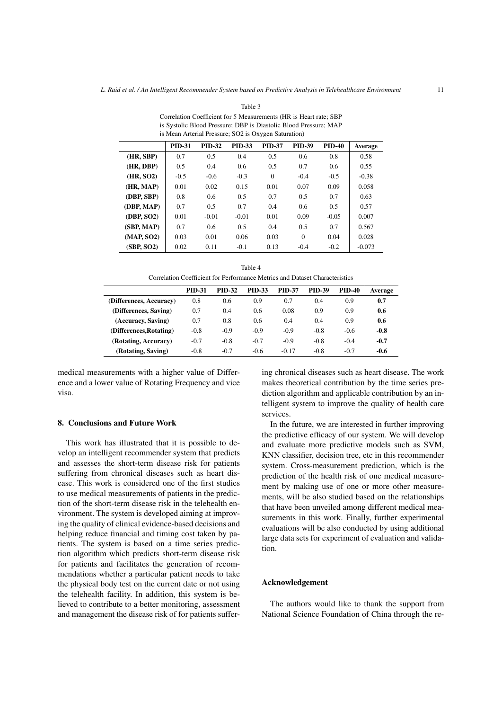| is systeme blood Flessure, DDF is Diastone blood Flessure, MAF<br>is Mean Arterial Pressure; SO2 is Oxygen Saturation) |               |               |               |               |               |               |          |  |
|------------------------------------------------------------------------------------------------------------------------|---------------|---------------|---------------|---------------|---------------|---------------|----------|--|
|                                                                                                                        | <b>PID-31</b> | <b>PID-32</b> | <b>PID-33</b> | <b>PID-37</b> | <b>PID-39</b> | <b>PID-40</b> | Average  |  |
| (HR, SBP)                                                                                                              | 0.7           | 0.5           | 0.4           | 0.5           | 0.6           | 0.8           | 0.58     |  |
| (HR, DBP)                                                                                                              | 0.5           | 0.4           | 0.6           | 0.5           | 0.7           | 0.6           | 0.55     |  |
| (HR, SO2)                                                                                                              | $-0.5$        | $-0.6$        | $-0.3$        | $\Omega$      | $-0.4$        | $-0.5$        | $-0.38$  |  |
| (HR, MAP)                                                                                                              | 0.01          | 0.02          | 0.15          | 0.01          | 0.07          | 0.09          | 0.058    |  |
| (DBP, SBP)                                                                                                             | 0.8           | 0.6           | 0.5           | 0.7           | 0.5           | 0.7           | 0.63     |  |
| (DBP, MAP)                                                                                                             | 0.7           | 0.5           | 0.7           | 0.4           | 0.6           | 0.5           | 0.57     |  |
| (DBP, SO2)                                                                                                             | 0.01          | $-0.01$       | $-0.01$       | 0.01          | 0.09          | $-0.05$       | 0.007    |  |
| (SBP, MAP)                                                                                                             | 0.7           | 0.6           | 0.5           | 0.4           | 0.5           | 0.7           | 0.567    |  |
| (MAP, SO2)                                                                                                             | 0.03          | 0.01          | 0.06          | 0.03          | $\Omega$      | 0.04          | 0.028    |  |
| (SBP, SO2)                                                                                                             | 0.02          | 0.11          | $-0.1$        | 0.13          | $-0.4$        | $-0.2$        | $-0.073$ |  |

Table 3 Correlation Coefficient for 5 Measurements (HR is Heart rate; SBP is Systolic Blood Pressure; DBP is Diastolic Blood Pressure; MAP

Table 4 Correlation Coefficient for Performance Metrics and Dataset Characteristics

|                         | <b>PID-31</b> | <b>PID-32</b> | <b>PID-33</b> | <b>PID-37</b> | <b>PID-39</b> | <b>PID-40</b> | Average |
|-------------------------|---------------|---------------|---------------|---------------|---------------|---------------|---------|
| (Differences, Accuracy) | 0.8           | 0.6           | 0.9           | 0.7           | 0.4           | 0.9           | 0.7     |
| (Differences, Saving)   | 0.7           | 0.4           | 0.6           | 0.08          | 0.9           | 0.9           | 0.6     |
| (Accuracy, Saving)      | 0.7           | 0.8           | 0.6           | 0.4           | 0.4           | 0.9           | 0.6     |
| (Differences, Rotating) | $-0.8$        | $-0.9$        | $-0.9$        | $-0.9$        | $-0.8$        | $-0.6$        | $-0.8$  |
| (Rotating, Accuracy)    | $-0.7$        | $-0.8$        | $-0.7$        | $-0.9$        | $-0.8$        | $-0.4$        | $-0.7$  |
| (Rotating, Saving)      | $-0.8$        | $-0.7$        | $-0.6$        | $-0.17$       | $-0.8$        | $-0.7$        | -0.6    |

medical measurements with a higher value of Difference and a lower value of Rotating Frequency and vice visa.

## 8. Conclusions and Future Work

This work has illustrated that it is possible to develop an intelligent recommender system that predicts and assesses the short-term disease risk for patients suffering from chronical diseases such as heart disease. This work is considered one of the first studies to use medical measurements of patients in the prediction of the short-term disease risk in the telehealth environment. The system is developed aiming at improving the quality of clinical evidence-based decisions and helping reduce financial and timing cost taken by patients. The system is based on a time series prediction algorithm which predicts short-term disease risk for patients and facilitates the generation of recommendations whether a particular patient needs to take the physical body test on the current date or not using the telehealth facility. In addition, this system is believed to contribute to a better monitoring, assessment and management the disease risk of for patients suffering chronical diseases such as heart disease. The work makes theoretical contribution by the time series prediction algorithm and applicable contribution by an intelligent system to improve the quality of health care services.

In the future, we are interested in further improving the predictive efficacy of our system. We will develop and evaluate more predictive models such as SVM, KNN classifier, decision tree, etc in this recommender system. Cross-measurement prediction, which is the prediction of the health risk of one medical measurement by making use of one or more other measurements, will be also studied based on the relationships that have been unveiled among different medical measurements in this work. Finally, further experimental evaluations will be also conducted by using additional large data sets for experiment of evaluation and validation.

#### Acknowledgement

The authors would like to thank the support from National Science Foundation of China through the re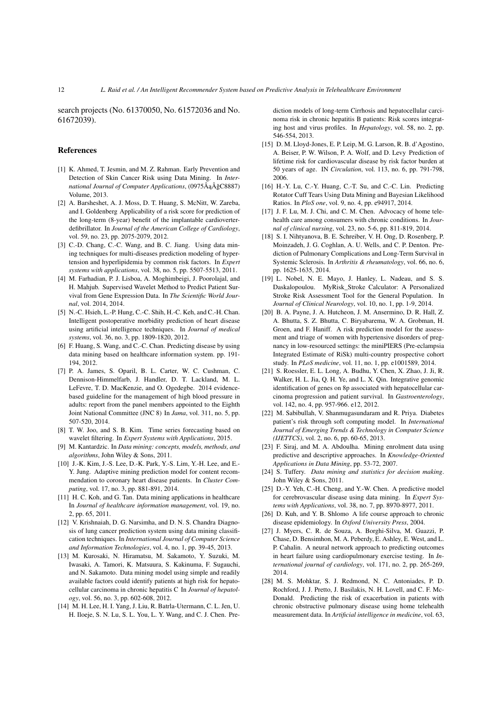search projects (No. 61370050, No. 61572036 and No. 61672039).

#### References

- [1] K. Ahmed, T. Jesmin, and M. Z. Rahman. Early Prevention and Detection of Skin Cancer Risk using Data Mining. In *Inter*national Journal of Computer Applications, (0975ÂaÂğC8887) Volume, 2013.
- [2] A. Barsheshet, A. J. Moss, D. T. Huang, S. McNitt, W. Zareba, and I. Goldenberg Applicability of a risk score for prediction of the long-term (8-year) benefit of the implantable cardioverterdefibrillator. In *Journal of the American College of Cardiology*, vol. 59, no. 23, pp. 2075-2079, 2012.
- [3] C.-D. Chang, C.-C. Wang, and B. C. Jiang. Using data mining techniques for multi-diseases prediction modeling of hypertension and hyperlipidemia by common risk factors. In *Expert systems with applications*, vol. 38, no. 5, pp. 5507-5513, 2011.
- [4] M. Farhadian, P. J. Lisboa, A. Moghimbeigi, J. Poorolajal, and H. Mahjub. Supervised Wavelet Method to Predict Patient Survival from Gene Expression Data. In *The Scientific World Journal*, vol. 2014, 2014.
- [5] N.-C. Hsieh, L.-P. Hung, C.-C. Shih, H.-C. Keh, and C.-H. Chan. Intelligent postoperative morbidity prediction of heart disease using artificial intelligence techniques. In *Journal of medical systems*, vol. 36, no. 3, pp. 1809-1820, 2012.
- [6] F. Huang, S. Wang, and C.-C. Chan. Predicting disease by using data mining based on healthcare information system. pp. 191- 194, 2012.
- [7] P. A. James, S. Oparil, B. L. Carter, W. C. Cushman, C. Dennison-Himmelfarb, J. Handler, D. T. Lackland, M. L. LeFevre, T. D. MacKenzie, and O. Ogedegbe. 2014 evidencebased guideline for the management of high blood pressure in adults: report from the panel members appointed to the Eighth Joint National Committee (JNC 8) In *Jama*, vol. 311, no. 5, pp. 507-520, 2014.
- [8] T. W. Joo, and S. B. Kim. Time series forecasting based on wavelet filtering. In *Expert Systems with Applications*, 2015.
- [9] M. Kantardzic. In *Data mining: concepts, models, methods, and algorithms*, John Wiley & Sons, 2011.
- [10] J.-K. Kim, J.-S. Lee, D.-K. Park, Y.-S. Lim, Y.-H. Lee, and E.- Y. Jung. Adaptive mining prediction model for content recommendation to coronary heart disease patients. In *Cluster Computing*, vol. 17, no. 3, pp. 881-891, 2014.
- [11] H. C. Koh, and G. Tan. Data mining applications in healthcare In *Journal of healthcare information management*, vol. 19, no. 2, pp. 65, 2011.
- [12] V. Krishnaiah, D. G. Narsimha, and D. N. S. Chandra Diagnosis of lung cancer prediction system using data mining classification techniques. In *International Journal of Computer Science and Information Technologies*, vol. 4, no. 1, pp. 39-45, 2013.
- [13] M. Kurosaki, N. Hiramatsu, M. Sakamoto, Y. Suzuki, M. Iwasaki, A. Tamori, K. Matsuura, S. Kakinuma, F. Sugauchi, and N. Sakamoto. Data mining model using simple and readily available factors could identify patients at high risk for hepatocellular carcinoma in chronic hepatitis C In *Journal of hepatology*, vol. 56, no. 3, pp. 602-608, 2012.
- [14] M. H. Lee, H. I. Yang, J. Liu, R. Batrla-Utermann, C. L. Jen, U. H. Iloeje, S. N. Lu, S. L. You, L. Y. Wang, and C. J. Chen. Pre-

diction models of long-term Cirrhosis and hepatocellular carcinoma risk in chronic hepatitis B patients: Risk scores integrating host and virus profiles. In *Hepatology*, vol. 58, no. 2, pp. 546-554, 2013.

- [15] D. M. Lloyd-Jones, E. P. Leip, M. G. Larson, R. B. d'Agostino, A. Beiser, P. W. Wilson, P. A. Wolf, and D. Levy Prediction of lifetime risk for cardiovascular disease by risk factor burden at 50 years of age. IN *Circulation*, vol. 113, no. 6, pp. 791-798, 2006.
- [16] H.-Y. Lu, C.-Y. Huang, C.-T. Su, and C.-C. Lin. Predicting Rotator Cuff Tears Using Data Mining and Bayesian Likelihood Ratios. In *PloS one*, vol. 9, no. 4, pp. e94917, 2014.
- [17] J. F. Lu, M. J. Chi, and C. M. Chen. Advocacy of home telehealth care among consumers with chronic conditions. In *Journal of clinical nursing*, vol. 23, no. 5-6, pp. 811-819, 2014.
- [18] S. I. Nihtyanova, B. E. Schreiber, V. H. Ong, D. Rosenberg, P. Moinzadeh, J. G. Coghlan, A. U. Wells, and C. P. Denton. Prediction of Pulmonary Complications and Long-Term Survival in Systemic Sclerosis. In *Arthritis & rheumatology*, vol. 66, no. 6, pp. 1625-1635, 2014.
- [19] L. Nobel, N. E. Mayo, J. Hanley, L. Nadeau, and S. S. Daskalopoulou. MyRisk\_Stroke Calculator: A Personalized Stroke Risk Assessment Tool for the General Population. In *Journal of Clinical Neurology*, vol. 10, no. 1, pp. 1-9, 2014.
- [20] B. A. Payne, J. A. Hutcheon, J. M. Ansermino, D. R. Hall, Z. A. Bhutta, S. Z. Bhutta, C. Biryabarema, W. A. Grobman, H. Groen, and F. Haniff. A risk prediction model for the assessment and triage of women with hypertensive disorders of pregnancy in low-resourced settings: the miniPIERS (Pre-eclampsia Integrated Estimate of RiSk) multi-country prospective cohort study. In *PLoS medicine*, vol. 11, no. 1, pp. e1001589, 2014.
- [21] S. Roessler, E. L. Long, A. Budhu, Y. Chen, X. Zhao, J. Ji, R. Walker, H. L. Jia, Q. H. Ye, and L. X. Qin. Integrative genomic identification of genes on 8p associated with hepatocellular carcinoma progression and patient survival. In *Gastroenterology*, vol. 142, no. 4, pp. 957-966. e12, 2012.
- [22] M. Sabibullah, V. Shanmugasundaram and R. Priya. Diabetes patient's risk through soft computing model. In *International Journal of Emerging Trends & Technology in Computer Science (IJETTCS)*, vol. 2, no. 6, pp. 60-65, 2013.
- [23] F. Siraj, and M. A. Abdoulha. Mining enrolment data using predictive and descriptive approaches. In *Knowledge-Oriented Applications in Data Mining*, pp. 53-72, 2007.
- [24] S. Tuffery. *Data mining and statistics for decision making*. John Wiley & Sons, 2011.
- [25] D.-Y. Yeh, C.-H. Cheng, and Y.-W. Chen. A predictive model for cerebrovascular disease using data mining. In *Expert Systems with Applications*, vol. 38, no. 7, pp. 8970-8977, 2011.
- [26] D. Kuh, and Y. B. Shlomo A life course approach to chronic disease epidemiology. In *Oxford University Press*, 2004.
- [27] J. Myers, C. R. de Souza, A. Borghi-Silva, M. Guazzi, P. Chase, D. Bensimhon, M. A. Peberdy, E. Ashley, E. West, and L. P. Cahalin. A neural network approach to predicting outcomes in heart failure using cardiopulmonary exercise testing. In *International journal of cardiology*, vol. 171, no. 2, pp. 265-269, 2014.
- [28] M. S. Mohktar, S. J. Redmond, N. C. Antoniades, P. D. Rochford, J. J. Pretto, J. Basilakis, N. H. Lovell, and C. F. Mc-Donald. Predicting the risk of exacerbation in patients with chronic obstructive pulmonary disease using home telehealth measurement data. In *Artificial intelligence in medicine*, vol. 63,